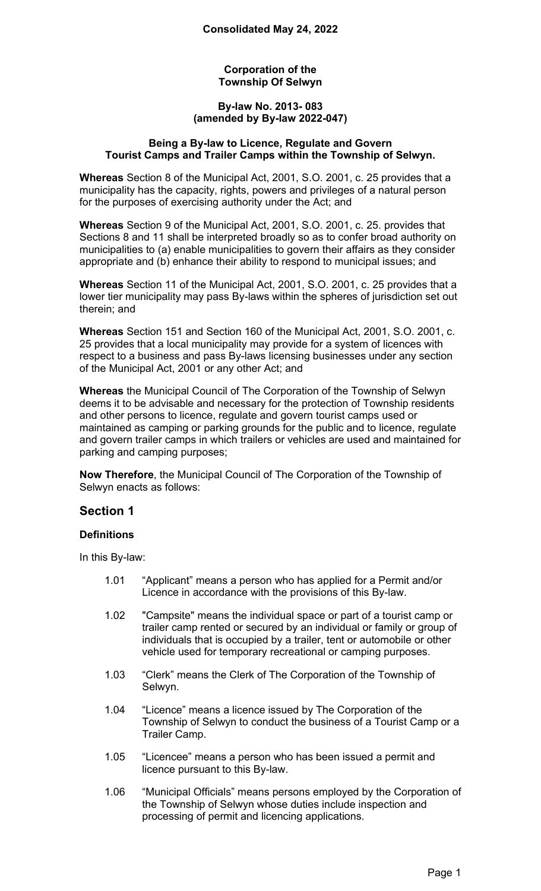#### **Corporation of the Township Of Selwyn**

#### **By-law No. 2013- 083 (amended by By-law 2022-047)**

#### **Being a By-law to Licence, Regulate and Govern Tourist Camps and Trailer Camps within the Township of Selwyn.**

**Whereas** Section 8 of the Municipal Act, 2001, S.O. 2001, c. 25 provides that a municipality has the capacity, rights, powers and privileges of a natural person for the purposes of exercising authority under the Act; and

**Whereas** Section 9 of the Municipal Act, 2001, S.O. 2001, c. 25. provides that Sections 8 and 11 shall be interpreted broadly so as to confer broad authority on municipalities to (a) enable municipalities to govern their affairs as they consider appropriate and (b) enhance their ability to respond to municipal issues; and

**Whereas** Section 11 of the Municipal Act, 2001, S.O. 2001, c. 25 provides that a lower tier municipality may pass By-laws within the spheres of jurisdiction set out therein; and

**Whereas** Section 151 and Section 160 of the Municipal Act, 2001, S.O. 2001, c. 25 provides that a local municipality may provide for a system of licences with respect to a business and pass By-laws licensing businesses under any section of the Municipal Act, 2001 or any other Act; and

**Whereas** the Municipal Council of The Corporation of the Township of Selwyn deems it to be advisable and necessary for the protection of Township residents and other persons to licence, regulate and govern tourist camps used or maintained as camping or parking grounds for the public and to licence, regulate and govern trailer camps in which trailers or vehicles are used and maintained for parking and camping purposes;

**Now Therefore**, the Municipal Council of The Corporation of the Township of Selwyn enacts as follows:

# **Section 1**

### **Definitions**

In this By-law:

- 1.01 "Applicant" means a person who has applied for a Permit and/or Licence in accordance with the provisions of this By-law.
- 1.02 "Campsite" means the individual space or part of a tourist camp or trailer camp rented or secured by an individual or family or group of individuals that is occupied by a trailer, tent or automobile or other vehicle used for temporary recreational or camping purposes.
- 1.03 "Clerk" means the Clerk of The Corporation of the Township of Selwyn.
- 1.04 "Licence" means a licence issued by The Corporation of the Township of Selwyn to conduct the business of a Tourist Camp or a Trailer Camp.
- 1.05 "Licencee" means a person who has been issued a permit and licence pursuant to this By-law.
- 1.06 "Municipal Officials" means persons employed by the Corporation of the Township of Selwyn whose duties include inspection and processing of permit and licencing applications.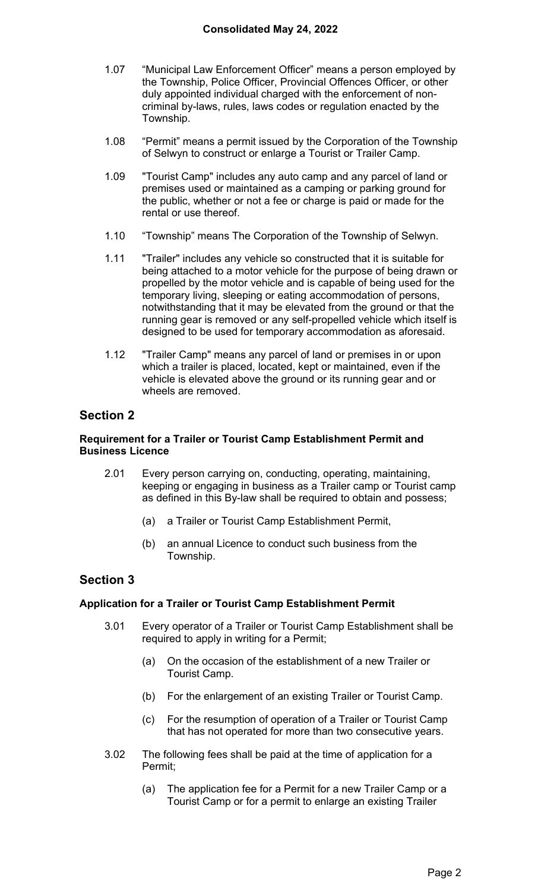- 1.07 "Municipal Law Enforcement Officer" means a person employed by the Township, Police Officer, Provincial Offences Officer, or other duly appointed individual charged with the enforcement of noncriminal by-laws, rules, laws codes or regulation enacted by the Township.
- 1.08 "Permit" means a permit issued by the Corporation of the Township of Selwyn to construct or enlarge a Tourist or Trailer Camp.
- 1.09 "Tourist Camp" includes any auto camp and any parcel of land or premises used or maintained as a camping or parking ground for the public, whether or not a fee or charge is paid or made for the rental or use thereof.
- 1.10 "Township" means The Corporation of the Township of Selwyn.
- 1.11 "Trailer" includes any vehicle so constructed that it is suitable for being attached to a motor vehicle for the purpose of being drawn or propelled by the motor vehicle and is capable of being used for the temporary living, sleeping or eating accommodation of persons, notwithstanding that it may be elevated from the ground or that the running gear is removed or any self-propelled vehicle which itself is designed to be used for temporary accommodation as aforesaid.
- 1.12 "Trailer Camp" means any parcel of land or premises in or upon which a trailer is placed, located, kept or maintained, even if the vehicle is elevated above the ground or its running gear and or wheels are removed.

### **Requirement for a Trailer or Tourist Camp Establishment Permit and Business Licence**

- 2.01 Every person carrying on, conducting, operating, maintaining, keeping or engaging in business as a Trailer camp or Tourist camp as defined in this By-law shall be required to obtain and possess;
	- (a) a Trailer or Tourist Camp Establishment Permit,
	- (b) an annual Licence to conduct such business from the Township.

## **Section 3**

### **Application for a Trailer or Tourist Camp Establishment Permit**

- 3.01 Every operator of a Trailer or Tourist Camp Establishment shall be required to apply in writing for a Permit;
	- (a) On the occasion of the establishment of a new Trailer or Tourist Camp.
	- (b) For the enlargement of an existing Trailer or Tourist Camp.
	- (c) For the resumption of operation of a Trailer or Tourist Camp that has not operated for more than two consecutive years.
- 3.02 The following fees shall be paid at the time of application for a Permit;
	- (a) The application fee for a Permit for a new Trailer Camp or a Tourist Camp or for a permit to enlarge an existing Trailer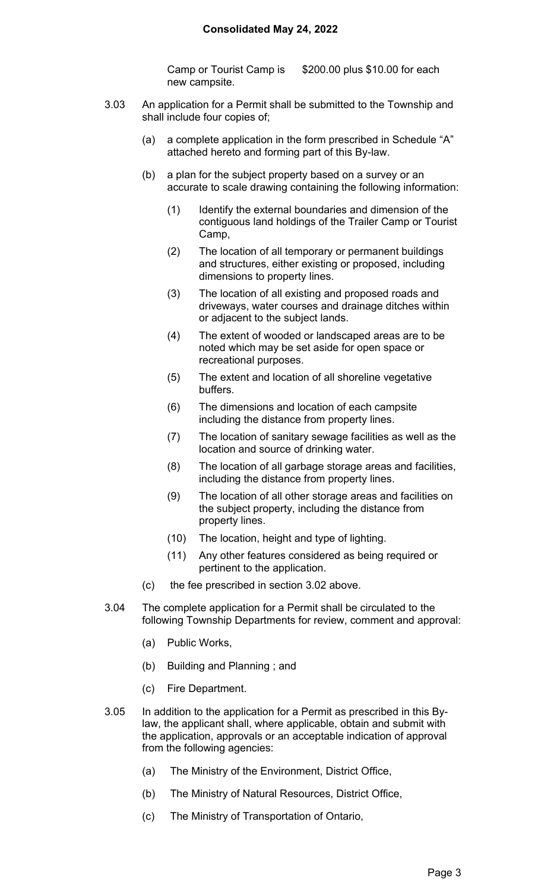#### **Consolidated May 24, 2022**

Camp or Tourist Camp is \$200.00 plus \$10.00 for each new campsite.

- 3.03 An application for a Permit shall be submitted to the Township and shall include four copies of;
	- (a) a complete application in the form prescribed in Schedule "A" attached hereto and forming part of this By-law.
	- (b) a plan for the subject property based on a survey or an accurate to scale drawing containing the following information:
		- (1) Identify the external boundaries and dimension of the contiguous land holdings of the Trailer Camp or Tourist Camp,
		- (2) The location of all temporary or permanent buildings and structures, either existing or proposed, including dimensions to property lines.
		- (3) The location of all existing and proposed roads and driveways, water courses and drainage ditches within or adjacent to the subject lands.
		- (4) The extent of wooded or landscaped areas are to be noted which may be set aside for open space or recreational purposes.
		- (5) The extent and location of all shoreline vegetative buffers.
		- (6) The dimensions and location of each campsite including the distance from property lines.
		- (7) The location of sanitary sewage facilities as well as the location and source of drinking water.
		- (8) The location of all garbage storage areas and facilities, including the distance from property lines.
		- (9) The location of all other storage areas and facilities on the subject property, including the distance from property lines.
		- (10) The location, height and type of lighting.
		- (11) Any other features considered as being required or pertinent to the application.
	- (c) the fee prescribed in section 3.02 above.
- 3.04 The complete application for a Permit shall be circulated to the following Township Departments for review, comment and approval:
	- (a) Public Works,
	- (b) Building and Planning ; and
	- (c) Fire Department.
- 3.05 In addition to the application for a Permit as prescribed in this Bylaw, the applicant shall, where applicable, obtain and submit with the application, approvals or an acceptable indication of approval from the following agencies:
	- (a) The Ministry of the Environment, District Office,
	- (b) The Ministry of Natural Resources, District Office,
	- (c) The Ministry of Transportation of Ontario,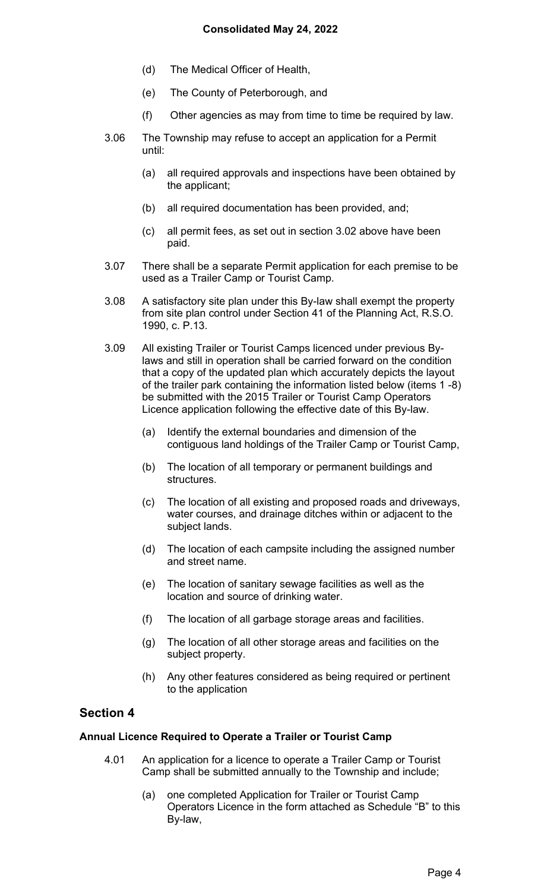- (d) The Medical Officer of Health,
- (e) The County of Peterborough, and
- (f) Other agencies as may from time to time be required by law.
- 3.06 The Township may refuse to accept an application for a Permit until:
	- (a) all required approvals and inspections have been obtained by the applicant;
	- (b) all required documentation has been provided, and;
	- (c) all permit fees, as set out in section 3.02 above have been paid.
- 3.07 There shall be a separate Permit application for each premise to be used as a Trailer Camp or Tourist Camp.
- 3.08 A satisfactory site plan under this By-law shall exempt the property from site plan control under Section 41 of the Planning Act, R.S.O. 1990, c. P.13.
- 3.09 All existing Trailer or Tourist Camps licenced under previous Bylaws and still in operation shall be carried forward on the condition that a copy of the updated plan which accurately depicts the layout of the trailer park containing the information listed below (items 1 -8) be submitted with the 2015 Trailer or Tourist Camp Operators Licence application following the effective date of this By-law.
	- (a) Identify the external boundaries and dimension of the contiguous land holdings of the Trailer Camp or Tourist Camp,
	- (b) The location of all temporary or permanent buildings and **structures**
	- (c) The location of all existing and proposed roads and driveways, water courses, and drainage ditches within or adjacent to the subject lands.
	- (d) The location of each campsite including the assigned number and street name.
	- (e) The location of sanitary sewage facilities as well as the location and source of drinking water.
	- (f) The location of all garbage storage areas and facilities.
	- (g) The location of all other storage areas and facilities on the subject property.
	- (h) Any other features considered as being required or pertinent to the application

#### **Annual Licence Required to Operate a Trailer or Tourist Camp**

- 4.01 An application for a licence to operate a Trailer Camp or Tourist Camp shall be submitted annually to the Township and include;
	- (a) one completed Application for Trailer or Tourist Camp Operators Licence in the form attached as Schedule "B" to this By-law,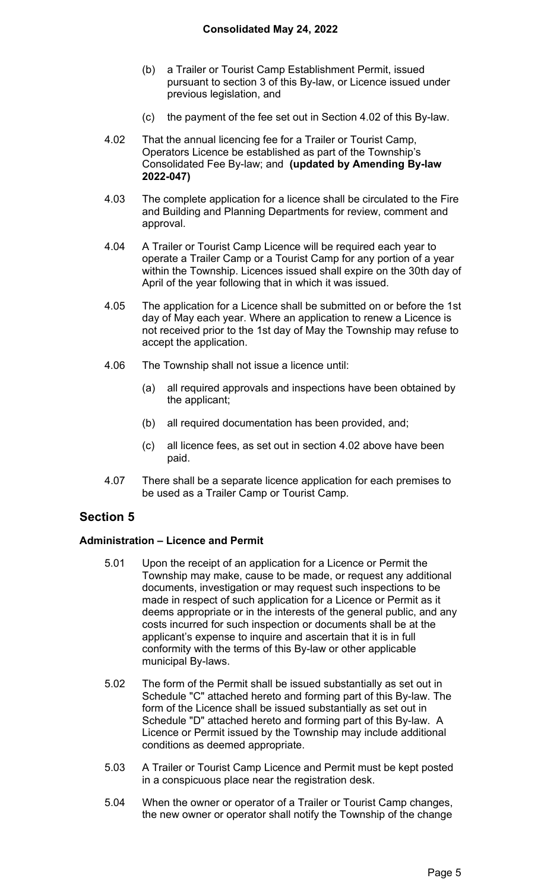- (b) a Trailer or Tourist Camp Establishment Permit, issued pursuant to section 3 of this By-law, or Licence issued under previous legislation, and
- (c) the payment of the fee set out in Section 4.02 of this By-law.
- 4.02 That the annual licencing fee for a Trailer or Tourist Camp, Operators Licence be established as part of the Township's Consolidated Fee By-law; and **(updated by Amending By-law 2022-047)**
- 4.03 The complete application for a licence shall be circulated to the Fire and Building and Planning Departments for review, comment and approval.
- 4.04 A Trailer or Tourist Camp Licence will be required each year to operate a Trailer Camp or a Tourist Camp for any portion of a year within the Township. Licences issued shall expire on the 30th day of April of the year following that in which it was issued.
- 4.05 The application for a Licence shall be submitted on or before the 1st day of May each year. Where an application to renew a Licence is not received prior to the 1st day of May the Township may refuse to accept the application.
- 4.06 The Township shall not issue a licence until:
	- (a) all required approvals and inspections have been obtained by the applicant;
	- (b) all required documentation has been provided, and;
	- (c) all licence fees, as set out in section 4.02 above have been paid.
- 4.07 There shall be a separate licence application for each premises to be used as a Trailer Camp or Tourist Camp.

### **Administration – Licence and Permit**

- 5.01 Upon the receipt of an application for a Licence or Permit the Township may make, cause to be made, or request any additional documents, investigation or may request such inspections to be made in respect of such application for a Licence or Permit as it deems appropriate or in the interests of the general public, and any costs incurred for such inspection or documents shall be at the applicant's expense to inquire and ascertain that it is in full conformity with the terms of this By-law or other applicable municipal By-laws.
- 5.02 The form of the Permit shall be issued substantially as set out in Schedule "C" attached hereto and forming part of this By-law. The form of the Licence shall be issued substantially as set out in Schedule "D" attached hereto and forming part of this By-law. A Licence or Permit issued by the Township may include additional conditions as deemed appropriate.
- 5.03 A Trailer or Tourist Camp Licence and Permit must be kept posted in a conspicuous place near the registration desk.
- 5.04 When the owner or operator of a Trailer or Tourist Camp changes, the new owner or operator shall notify the Township of the change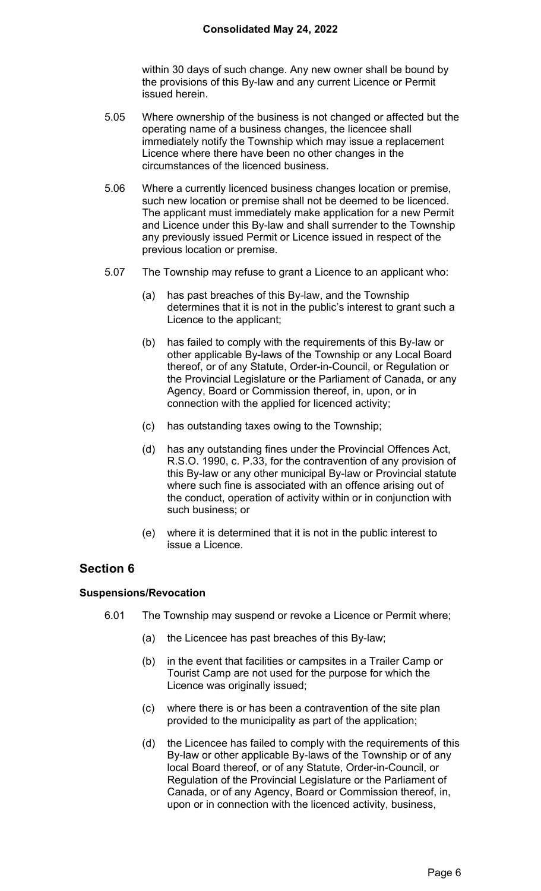within 30 days of such change. Any new owner shall be bound by the provisions of this By-law and any current Licence or Permit issued herein.

- 5.05 Where ownership of the business is not changed or affected but the operating name of a business changes, the licencee shall immediately notify the Township which may issue a replacement Licence where there have been no other changes in the circumstances of the licenced business.
- 5.06 Where a currently licenced business changes location or premise, such new location or premise shall not be deemed to be licenced. The applicant must immediately make application for a new Permit and Licence under this By-law and shall surrender to the Township any previously issued Permit or Licence issued in respect of the previous location or premise.
- 5.07 The Township may refuse to grant a Licence to an applicant who:
	- (a) has past breaches of this By-law, and the Township determines that it is not in the public's interest to grant such a Licence to the applicant;
	- (b) has failed to comply with the requirements of this By-law or other applicable By-laws of the Township or any Local Board thereof, or of any Statute, Order-in-Council, or Regulation or the Provincial Legislature or the Parliament of Canada, or any Agency, Board or Commission thereof, in, upon, or in connection with the applied for licenced activity;
	- (c) has outstanding taxes owing to the Township;
	- (d) has any outstanding fines under the Provincial Offences Act, R.S.O. 1990, c. P.33, for the contravention of any provision of this By-law or any other municipal By-law or Provincial statute where such fine is associated with an offence arising out of the conduct, operation of activity within or in conjunction with such business; or
	- (e) where it is determined that it is not in the public interest to issue a Licence.

# **Section 6**

### **Suspensions/Revocation**

- 6.01 The Township may suspend or revoke a Licence or Permit where;
	- (a) the Licencee has past breaches of this By-law;
	- (b) in the event that facilities or campsites in a Trailer Camp or Tourist Camp are not used for the purpose for which the Licence was originally issued;
	- (c) where there is or has been a contravention of the site plan provided to the municipality as part of the application;
	- (d) the Licencee has failed to comply with the requirements of this By-law or other applicable By-laws of the Township or of any local Board thereof, or of any Statute, Order-in-Council, or Regulation of the Provincial Legislature or the Parliament of Canada, or of any Agency, Board or Commission thereof, in, upon or in connection with the licenced activity, business,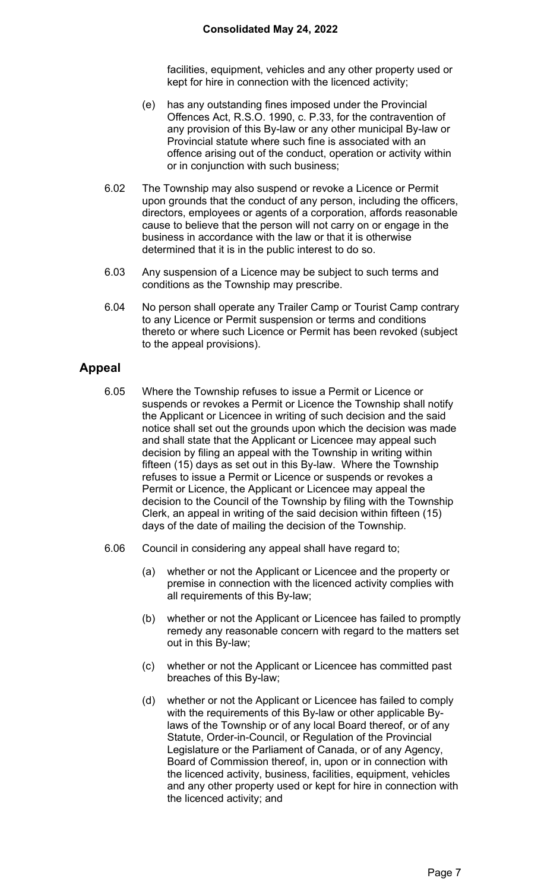facilities, equipment, vehicles and any other property used or kept for hire in connection with the licenced activity;

- (e) has any outstanding fines imposed under the Provincial Offences Act, R.S.O. 1990, c. P.33, for the contravention of any provision of this By-law or any other municipal By-law or Provincial statute where such fine is associated with an offence arising out of the conduct, operation or activity within or in conjunction with such business;
- 6.02 The Township may also suspend or revoke a Licence or Permit upon grounds that the conduct of any person, including the officers, directors, employees or agents of a corporation, affords reasonable cause to believe that the person will not carry on or engage in the business in accordance with the law or that it is otherwise determined that it is in the public interest to do so.
- 6.03 Any suspension of a Licence may be subject to such terms and conditions as the Township may prescribe.
- 6.04 No person shall operate any Trailer Camp or Tourist Camp contrary to any Licence or Permit suspension or terms and conditions thereto or where such Licence or Permit has been revoked (subject to the appeal provisions).

# **Appeal**

- 6.05 Where the Township refuses to issue a Permit or Licence or suspends or revokes a Permit or Licence the Township shall notify the Applicant or Licencee in writing of such decision and the said notice shall set out the grounds upon which the decision was made and shall state that the Applicant or Licencee may appeal such decision by filing an appeal with the Township in writing within fifteen (15) days as set out in this By-law. Where the Township refuses to issue a Permit or Licence or suspends or revokes a Permit or Licence, the Applicant or Licencee may appeal the decision to the Council of the Township by filing with the Township Clerk, an appeal in writing of the said decision within fifteen (15) days of the date of mailing the decision of the Township.
- 6.06 Council in considering any appeal shall have regard to;
	- (a) whether or not the Applicant or Licencee and the property or premise in connection with the licenced activity complies with all requirements of this By-law;
	- (b) whether or not the Applicant or Licencee has failed to promptly remedy any reasonable concern with regard to the matters set out in this By-law;
	- (c) whether or not the Applicant or Licencee has committed past breaches of this By-law;
	- (d) whether or not the Applicant or Licencee has failed to comply with the requirements of this By-law or other applicable Bylaws of the Township or of any local Board thereof, or of any Statute, Order-in-Council, or Regulation of the Provincial Legislature or the Parliament of Canada, or of any Agency, Board of Commission thereof, in, upon or in connection with the licenced activity, business, facilities, equipment, vehicles and any other property used or kept for hire in connection with the licenced activity; and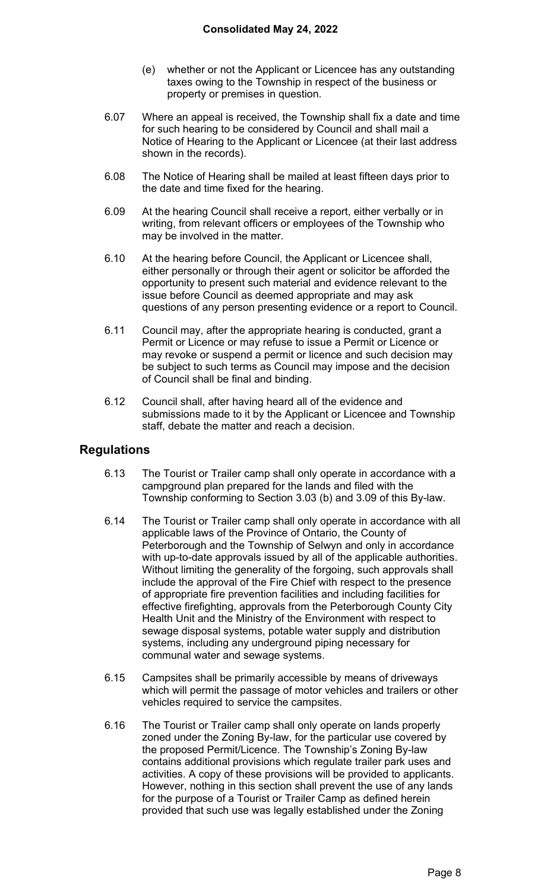- (e) whether or not the Applicant or Licencee has any outstanding taxes owing to the Township in respect of the business or property or premises in question.
- 6.07 Where an appeal is received, the Township shall fix a date and time for such hearing to be considered by Council and shall mail a Notice of Hearing to the Applicant or Licencee (at their last address shown in the records).
- 6.08 The Notice of Hearing shall be mailed at least fifteen days prior to the date and time fixed for the hearing.
- 6.09 At the hearing Council shall receive a report, either verbally or in writing, from relevant officers or employees of the Township who may be involved in the matter.
- 6.10 At the hearing before Council, the Applicant or Licencee shall, either personally or through their agent or solicitor be afforded the opportunity to present such material and evidence relevant to the issue before Council as deemed appropriate and may ask questions of any person presenting evidence or a report to Council.
- 6.11 Council may, after the appropriate hearing is conducted, grant a Permit or Licence or may refuse to issue a Permit or Licence or may revoke or suspend a permit or licence and such decision may be subject to such terms as Council may impose and the decision of Council shall be final and binding.
- 6.12 Council shall, after having heard all of the evidence and submissions made to it by the Applicant or Licencee and Township staff, debate the matter and reach a decision.

## **Regulations**

- 6.13 The Tourist or Trailer camp shall only operate in accordance with a campground plan prepared for the lands and filed with the Township conforming to Section 3.03 (b) and 3.09 of this By-law.
- 6.14 The Tourist or Trailer camp shall only operate in accordance with all applicable laws of the Province of Ontario, the County of Peterborough and the Township of Selwyn and only in accordance with up-to-date approvals issued by all of the applicable authorities. Without limiting the generality of the forgoing, such approvals shall include the approval of the Fire Chief with respect to the presence of appropriate fire prevention facilities and including facilities for effective firefighting, approvals from the Peterborough County City Health Unit and the Ministry of the Environment with respect to sewage disposal systems, potable water supply and distribution systems, including any underground piping necessary for communal water and sewage systems.
- 6.15 Campsites shall be primarily accessible by means of driveways which will permit the passage of motor vehicles and trailers or other vehicles required to service the campsites.
- 6.16 The Tourist or Trailer camp shall only operate on lands properly zoned under the Zoning By-law, for the particular use covered by the proposed Permit/Licence. The Township's Zoning By-law contains additional provisions which regulate trailer park uses and activities. A copy of these provisions will be provided to applicants. However, nothing in this section shall prevent the use of any lands for the purpose of a Tourist or Trailer Camp as defined herein provided that such use was legally established under the Zoning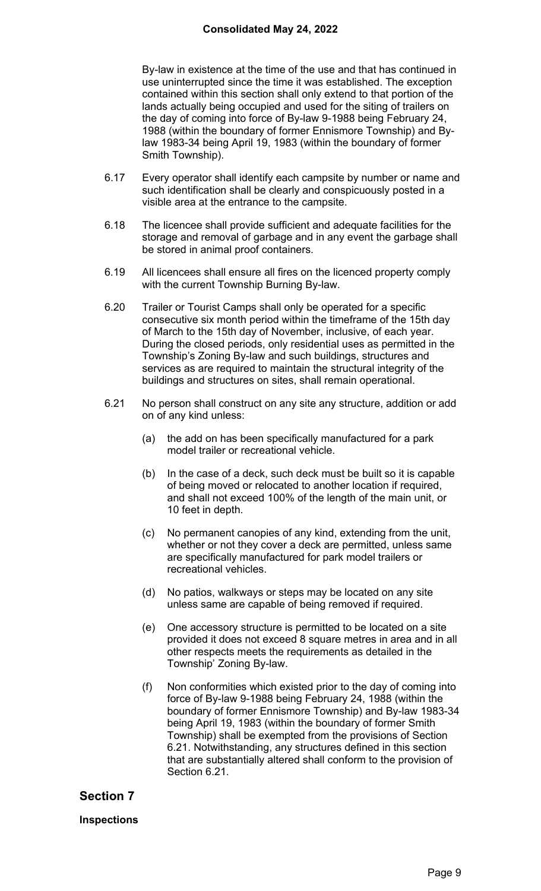#### **Consolidated May 24, 2022**

By-law in existence at the time of the use and that has continued in use uninterrupted since the time it was established. The exception contained within this section shall only extend to that portion of the lands actually being occupied and used for the siting of trailers on the day of coming into force of By-law 9-1988 being February 24, 1988 (within the boundary of former Ennismore Township) and Bylaw 1983-34 being April 19, 1983 (within the boundary of former Smith Township).

- 6.17 Every operator shall identify each campsite by number or name and such identification shall be clearly and conspicuously posted in a visible area at the entrance to the campsite.
- 6.18 The licencee shall provide sufficient and adequate facilities for the storage and removal of garbage and in any event the garbage shall be stored in animal proof containers.
- 6.19 All licencees shall ensure all fires on the licenced property comply with the current Township Burning By-law.
- 6.20 Trailer or Tourist Camps shall only be operated for a specific consecutive six month period within the timeframe of the 15th day of March to the 15th day of November, inclusive, of each year. During the closed periods, only residential uses as permitted in the Township's Zoning By-law and such buildings, structures and services as are required to maintain the structural integrity of the buildings and structures on sites, shall remain operational.
- 6.21 No person shall construct on any site any structure, addition or add on of any kind unless:
	- (a) the add on has been specifically manufactured for a park model trailer or recreational vehicle.
	- (b) In the case of a deck, such deck must be built so it is capable of being moved or relocated to another location if required, and shall not exceed 100% of the length of the main unit, or 10 feet in depth.
	- (c) No permanent canopies of any kind, extending from the unit, whether or not they cover a deck are permitted, unless same are specifically manufactured for park model trailers or recreational vehicles.
	- (d) No patios, walkways or steps may be located on any site unless same are capable of being removed if required.
	- (e) One accessory structure is permitted to be located on a site provided it does not exceed 8 square metres in area and in all other respects meets the requirements as detailed in the Township' Zoning By-law.
	- (f) Non conformities which existed prior to the day of coming into force of By-law 9-1988 being February 24, 1988 (within the boundary of former Ennismore Township) and By-law 1983-34 being April 19, 1983 (within the boundary of former Smith Township) shall be exempted from the provisions of Section 6.21. Notwithstanding, any structures defined in this section that are substantially altered shall conform to the provision of Section 6.21.

### **Section 7**

**Inspections**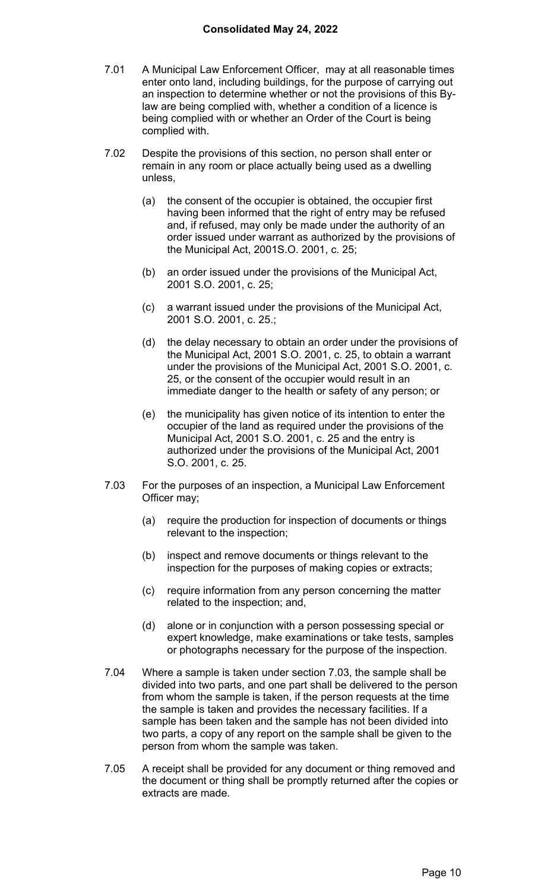- 7.01 A Municipal Law Enforcement Officer, may at all reasonable times enter onto land, including buildings, for the purpose of carrying out an inspection to determine whether or not the provisions of this Bylaw are being complied with, whether a condition of a licence is being complied with or whether an Order of the Court is being complied with.
- 7.02 Despite the provisions of this section, no person shall enter or remain in any room or place actually being used as a dwelling unless,
	- (a) the consent of the occupier is obtained, the occupier first having been informed that the right of entry may be refused and, if refused, may only be made under the authority of an order issued under warrant as authorized by the provisions of the Municipal Act, 2001S.O. 2001, c. 25;
	- (b) an order issued under the provisions of the Municipal Act, 2001 S.O. 2001, c. 25;
	- (c) a warrant issued under the provisions of the Municipal Act, 2001 S.O. 2001, c. 25.;
	- (d) the delay necessary to obtain an order under the provisions of the Municipal Act, 2001 S.O. 2001, c. 25, to obtain a warrant under the provisions of the Municipal Act, 2001 S.O. 2001, c. 25, or the consent of the occupier would result in an immediate danger to the health or safety of any person; or
	- (e) the municipality has given notice of its intention to enter the occupier of the land as required under the provisions of the Municipal Act, 2001 S.O. 2001, c. 25 and the entry is authorized under the provisions of the Municipal Act, 2001 S.O. 2001, c. 25.
- 7.03 For the purposes of an inspection, a Municipal Law Enforcement Officer may;
	- (a) require the production for inspection of documents or things relevant to the inspection;
	- (b) inspect and remove documents or things relevant to the inspection for the purposes of making copies or extracts;
	- (c) require information from any person concerning the matter related to the inspection; and,
	- (d) alone or in conjunction with a person possessing special or expert knowledge, make examinations or take tests, samples or photographs necessary for the purpose of the inspection.
- 7.04 Where a sample is taken under section 7.03, the sample shall be divided into two parts, and one part shall be delivered to the person from whom the sample is taken, if the person requests at the time the sample is taken and provides the necessary facilities. If a sample has been taken and the sample has not been divided into two parts, a copy of any report on the sample shall be given to the person from whom the sample was taken.
- 7.05 A receipt shall be provided for any document or thing removed and the document or thing shall be promptly returned after the copies or extracts are made.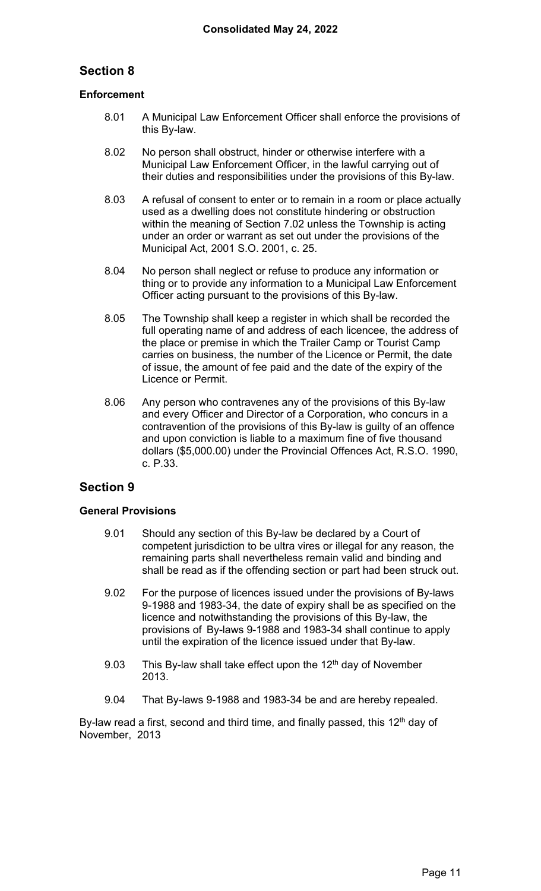### **Enforcement**

- 8.01 A Municipal Law Enforcement Officer shall enforce the provisions of this By-law.
- 8.02 No person shall obstruct, hinder or otherwise interfere with a Municipal Law Enforcement Officer, in the lawful carrying out of their duties and responsibilities under the provisions of this By-law.
- 8.03 A refusal of consent to enter or to remain in a room or place actually used as a dwelling does not constitute hindering or obstruction within the meaning of Section 7.02 unless the Township is acting under an order or warrant as set out under the provisions of the Municipal Act, 2001 S.O. 2001, c. 25.
- 8.04 No person shall neglect or refuse to produce any information or thing or to provide any information to a Municipal Law Enforcement Officer acting pursuant to the provisions of this By-law.
- 8.05 The Township shall keep a register in which shall be recorded the full operating name of and address of each licencee, the address of the place or premise in which the Trailer Camp or Tourist Camp carries on business, the number of the Licence or Permit, the date of issue, the amount of fee paid and the date of the expiry of the Licence or Permit.
- 8.06 Any person who contravenes any of the provisions of this By-law and every Officer and Director of a Corporation, who concurs in a contravention of the provisions of this By-law is guilty of an offence and upon conviction is liable to a maximum fine of five thousand dollars (\$5,000.00) under the Provincial Offences Act, R.S.O. 1990, c. P.33.

## **Section 9**

### **General Provisions**

- 9.01 Should any section of this By-law be declared by a Court of competent jurisdiction to be ultra vires or illegal for any reason, the remaining parts shall nevertheless remain valid and binding and shall be read as if the offending section or part had been struck out.
- 9.02 For the purpose of licences issued under the provisions of By-laws 9-1988 and 1983-34, the date of expiry shall be as specified on the licence and notwithstanding the provisions of this By-law, the provisions of By-laws 9-1988 and 1983-34 shall continue to apply until the expiration of the licence issued under that By-law.
- 9.03 This By-law shall take effect upon the  $12<sup>th</sup>$  day of November 2013.
- 9.04 That By-laws 9-1988 and 1983-34 be and are hereby repealed.

By-law read a first, second and third time, and finally passed, this  $12<sup>th</sup>$  day of November, 2013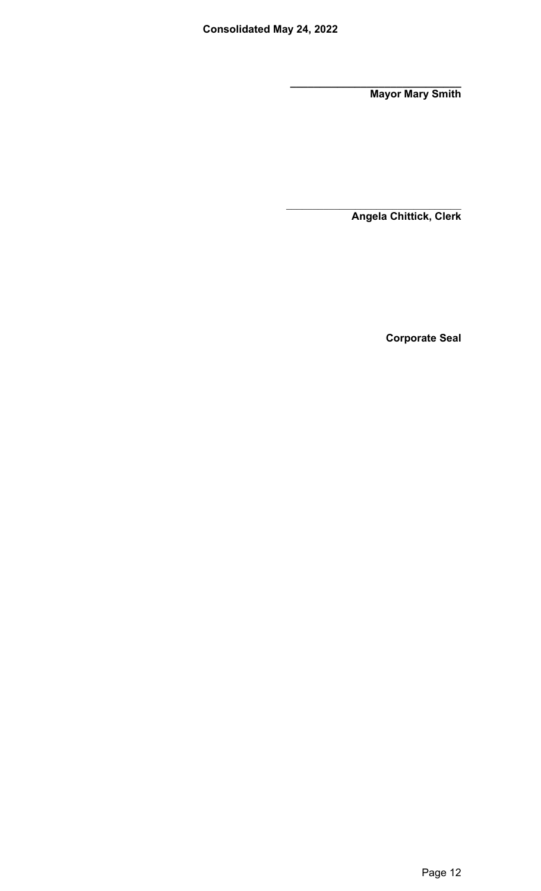**\_\_\_\_\_\_\_\_\_\_\_\_\_\_\_\_\_\_\_\_\_\_\_\_\_\_\_\_\_ Mayor Mary Smith** 

**Angela Chittick, Clerk** 

**Corporate Seal**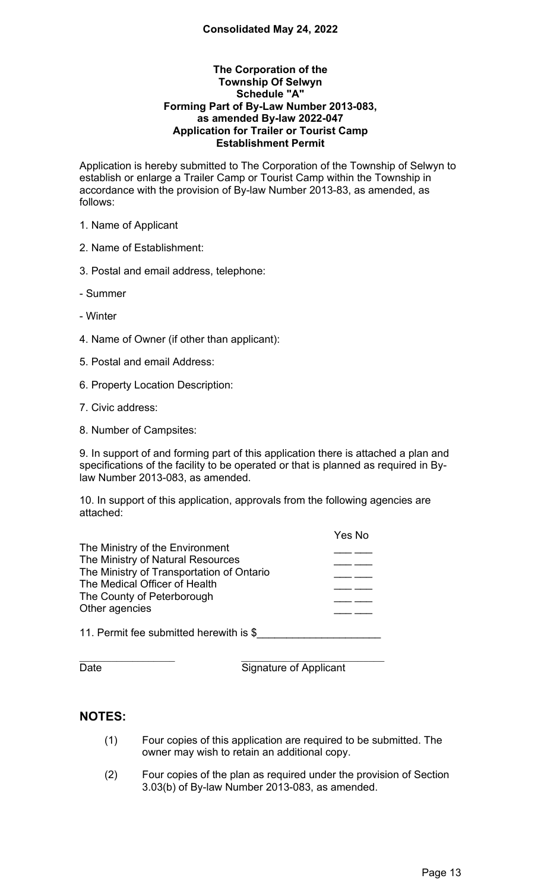#### **The Corporation of the Township Of Selwyn Schedule "A" Forming Part of By-Law Number 2013-083, as amended By-law 2022-047 Application for Trailer or Tourist Camp Establishment Permit**

Application is hereby submitted to The Corporation of the Township of Selwyn to establish or enlarge a Trailer Camp or Tourist Camp within the Township in accordance with the provision of By-law Number 2013-83, as amended, as follows:

1. Name of Applicant

2. Name of Establishment:

3. Postal and email address, telephone:

- Summer

- Winter

4. Name of Owner (if other than applicant):

5. Postal and email Address:

6. Property Location Description:

7. Civic address:

8. Number of Campsites:

9. In support of and forming part of this application there is attached a plan and specifications of the facility to be operated or that is planned as required in Bylaw Number 2013-083, as amended.

10. In support of this application, approvals from the following agencies are attached:

|                                           | Yes No |
|-------------------------------------------|--------|
| The Ministry of the Environment           |        |
| The Ministry of Natural Resources         |        |
| The Ministry of Transportation of Ontario |        |
| The Medical Officer of Health             |        |
| The County of Peterborough                |        |
| Other agencies                            |        |
|                                           |        |
| 11. Permit fee submitted herewith is \$   |        |

Date **Signature of Applicant** 

### **NOTES:**

- (1) Four copies of this application are required to be submitted. The owner may wish to retain an additional copy.
- (2) Four copies of the plan as required under the provision of Section 3.03(b) of By-law Number 2013-083, as amended.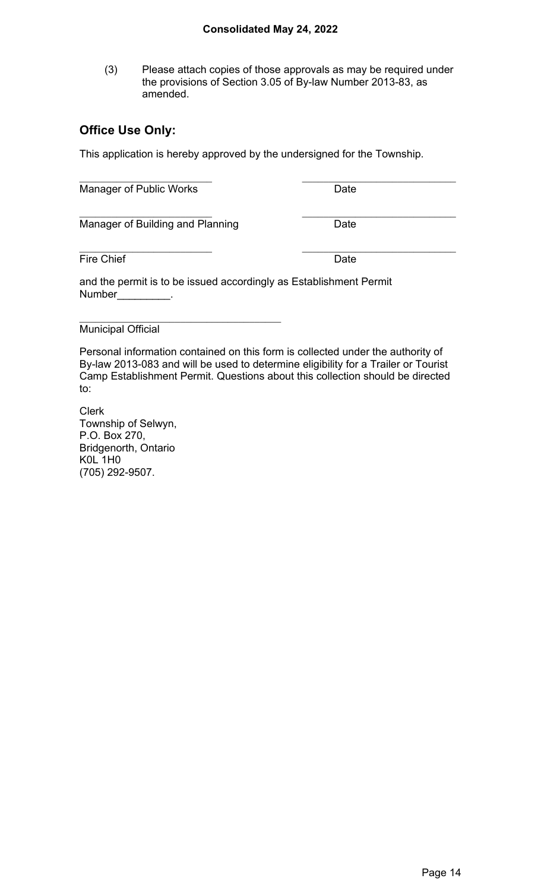(3) Please attach copies of those approvals as may be required under the provisions of Section 3.05 of By-law Number 2013-83, as amended.

# **Office Use Only:**

This application is hereby approved by the undersigned for the Township.

| Manager of Public Works                                                             | Date |  |
|-------------------------------------------------------------------------------------|------|--|
| Manager of Building and Planning                                                    | Date |  |
| <b>Fire Chief</b>                                                                   | Date |  |
| and the permit is to be issued accordingly as Establishment Permit<br><b>Number</b> |      |  |
| <b>Municipal Official</b>                                                           |      |  |

Personal information contained on this form is collected under the authority of By-law 2013-083 and will be used to determine eligibility for a Trailer or Tourist Camp Establishment Permit. Questions about this collection should be directed to:

Clerk Township of Selwyn, P.O. Box 270, Bridgenorth, Ontario K0L 1H0 (705) 292-9507.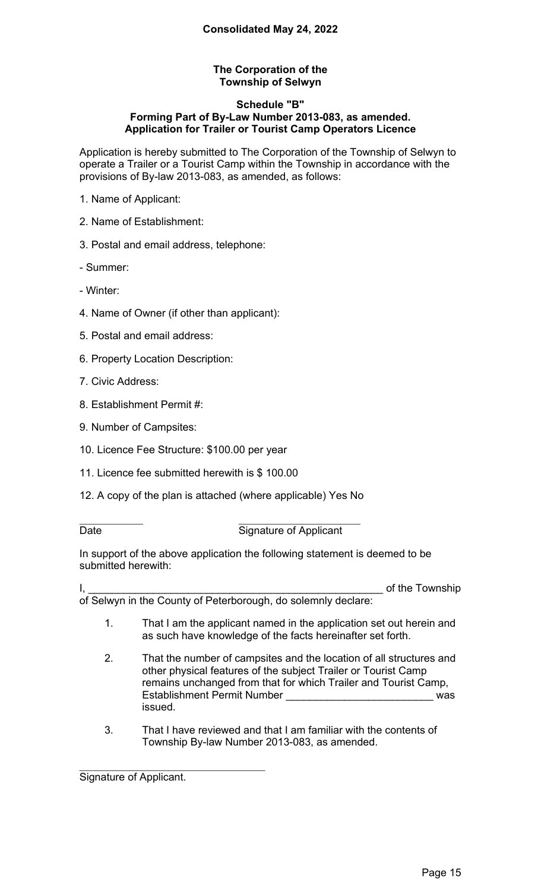### **The Corporation of the Township of Selwyn**

#### **Schedule "B" Forming Part of By-Law Number 2013-083, as amended. Application for Trailer or Tourist Camp Operators Licence**

Application is hereby submitted to The Corporation of the Township of Selwyn to operate a Trailer or a Tourist Camp within the Township in accordance with the provisions of By-law 2013-083, as amended, as follows:

- 1. Name of Applicant:
- 2. Name of Establishment:
- 3. Postal and email address, telephone:

- Summer:

- Winter:

- 4. Name of Owner (if other than applicant):
- 5. Postal and email address:
- 6. Property Location Description:
- 7. Civic Address:
- 8. Establishment Permit #:
- 9. Number of Campsites:
- 10. Licence Fee Structure: \$100.00 per year
- 11. Licence fee submitted herewith is \$ 100.00
- 12. A copy of the plan is attached (where applicable) Yes No

#### Date **Date** Signature of Applicant

In support of the above application the following statement is deemed to be submitted herewith:

I, the Internal control of the Township state of the Township of Selwyn in the County of Peterborough, do solemnly declare:

- 1. That I am the applicant named in the application set out herein and as such have knowledge of the facts hereinafter set forth.
- 2. That the number of campsites and the location of all structures and other physical features of the subject Trailer or Tourist Camp remains unchanged from that for which Trailer and Tourist Camp, Establishment Permit Number **External and Settings** was issued.
- 3. That I have reviewed and that I am familiar with the contents of Township By-law Number 2013-083, as amended.

Signature of Applicant.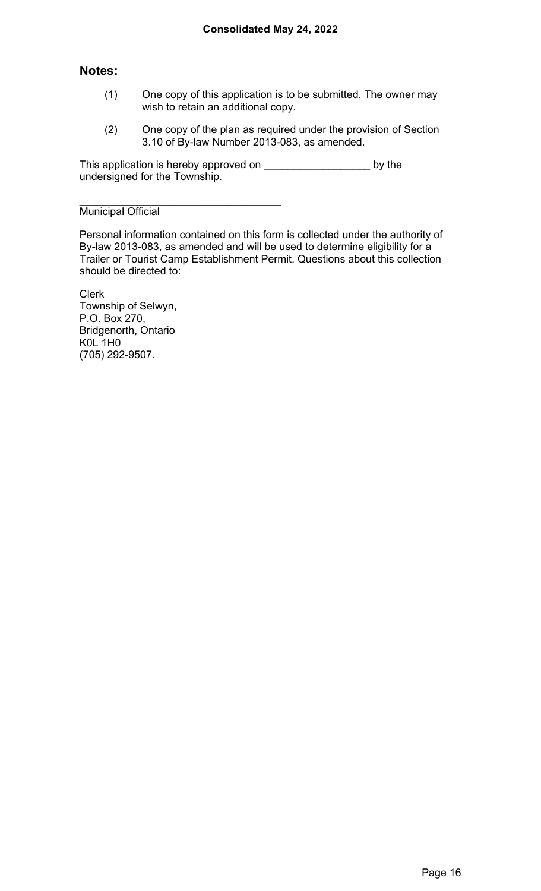## **Notes:**

- (1) One copy of this application is to be submitted. The owner may wish to retain an additional copy.
- (2) One copy of the plan as required under the provision of Section 3.10 of By-law Number 2013-083, as amended.

This application is hereby approved on \_\_\_\_\_\_\_\_\_\_\_\_\_\_\_\_\_\_\_\_\_\_\_\_\_\_ by the undersigned for the Township.

Municipal Official

Personal information contained on this form is collected under the authority of By-law 2013-083, as amended and will be used to determine eligibility for a Trailer or Tourist Camp Establishment Permit. Questions about this collection should be directed to:

Clerk Township of Selwyn, P.O. Box 270, Bridgenorth, Ontario K0L 1H0 (705) 292-9507.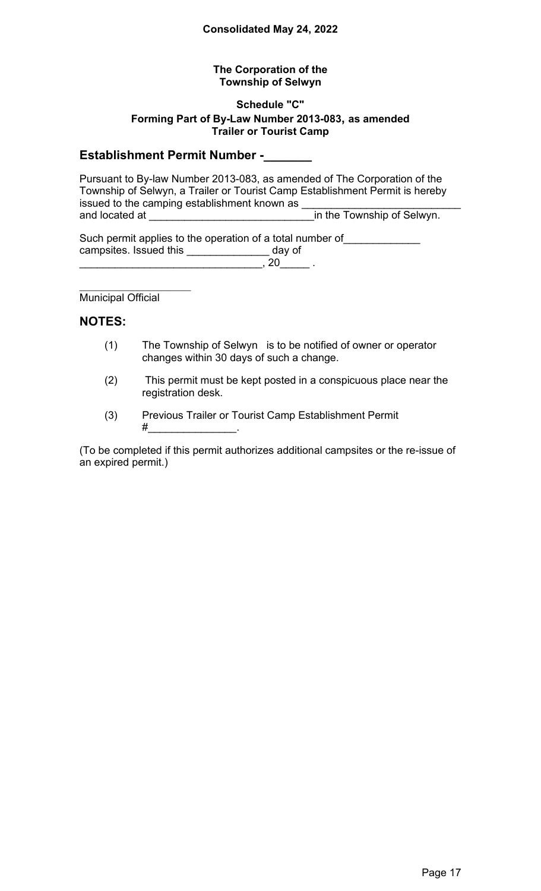### **The Corporation of the Township of Selwyn**

#### **Schedule "C" Forming Part of By-Law Number 2013-083, as amended Trailer or Tourist Camp**

# **Establishment Permit Number -\_\_\_\_\_\_\_**

Pursuant to By-law Number 2013-083, as amended of The Corporation of the Township of Selwyn, a Trailer or Tourist Camp Establishment Permit is hereby issued to the camping establishment known as \_\_\_\_\_\_\_\_\_\_\_\_\_\_\_\_\_\_\_\_\_\_\_\_\_\_\_ and located at \_\_\_\_\_\_\_\_\_\_\_\_\_\_\_\_\_\_\_\_\_\_\_\_\_\_\_\_in the Township of Selwyn.

Such permit applies to the operation of a total number of \_\_\_\_\_\_\_\_\_\_\_\_\_\_\_\_\_\_\_\_\_\_ campsites. Issued this \_\_\_\_\_\_\_\_\_\_\_\_\_\_ day of  $\overline{\phantom{1.5\,20\,}}$  , 20  $\phantom{1.5\,}$  .

Municipal Official

### **NOTES:**

- (1) The Township of Selwyn is to be notified of owner or operator changes within 30 days of such a change.
- (2) This permit must be kept posted in a conspicuous place near the registration desk.
- (3) Previous Trailer or Tourist Camp Establishment Permit #\_\_\_\_\_\_\_\_\_\_\_\_\_\_\_.

(To be completed if this permit authorizes additional campsites or the re-issue of an expired permit.)